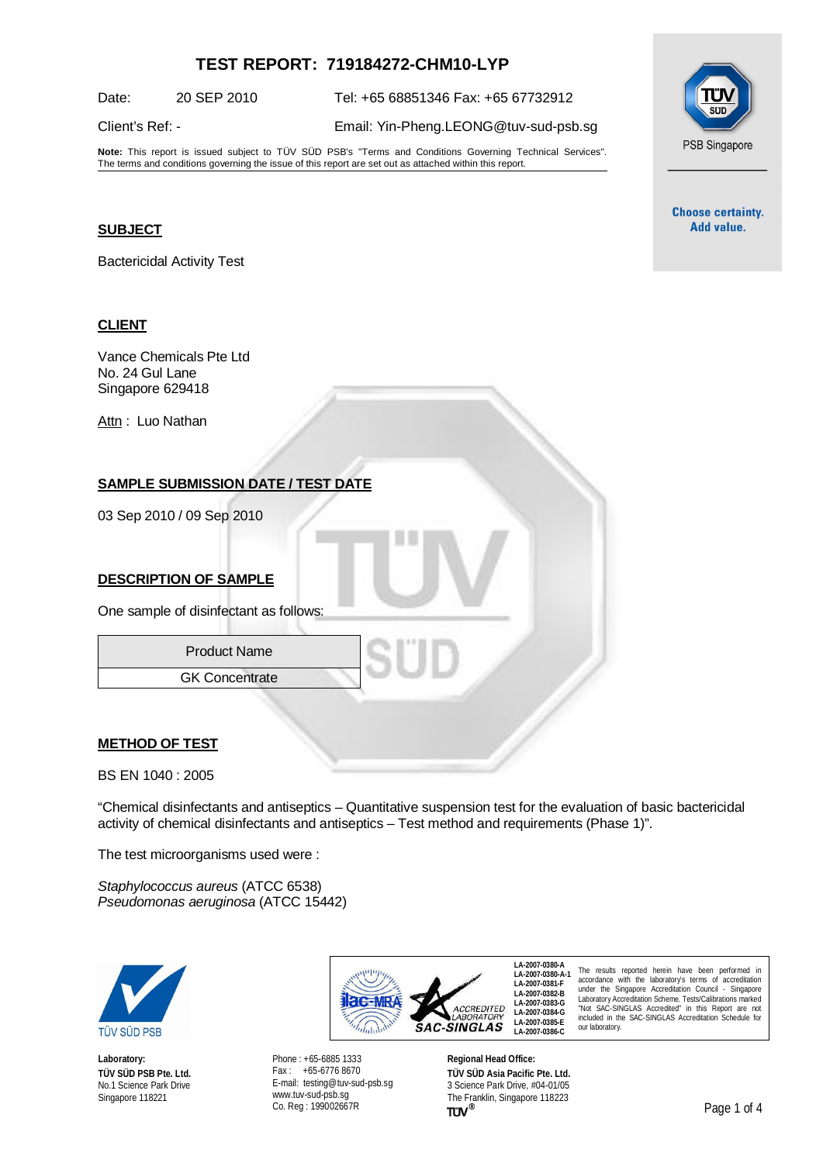# **TEST REPORT: 719184272-CHM10-LYP**

Date: 20 SEP 2010 Tel: +65 68851346 Fax: +65 67732912

Client's Ref: - Email: [Yin-Pheng.LEONG@tuv-sud-psb.sg](mailto:Yin-Pheng.LEONG@tuv-sud-psb.sg)

**Note:** This report is issued subject to TÜV SÜD PSB's "Terms and Conditions Governing Technical Services". The terms and conditions governing the issue of this report are set out as attached within this report.

#### **SUBJECT**

Bactericidal Activity Test

#### **CLIENT**

Vance Chemicals Pte Ltd No. 24 Gul Lane Singapore 629418

Attn: Luo Nathan

## **SAMPLE SUBMISSION DATE / TEST DATE**

03 Sep 2010 / 09 Sep 2010

### **DESCRIPTION OF SAMPLE**

One sample of disinfectant as follows:

Product Name GK Concentrate

#### **METHOD OF TEST**

BS EN 1040 : 2005

"Chemical disinfectants and antiseptics – Quantitative suspension test for the evaluation of basic bactericidal activity of chemical disinfectants and antiseptics – Test method and requirements (Phase 1)".

The test microorganisms used were :

*Staphylococcus aureus* (ATCC 6538) *Pseudomonas aeruginosa* (ATCC 15442)



**Laboratory: TÜV SÜD PSB Pte. Ltd.** No.1 Science Park Drive Singapore 118221



Phone : +65-6885 1333 Fax : +65-6776 8670 E-mail: [testing@tuv-sud-psb.sg](mailto:testing@tuv-sud-psb.sg) [www.tuv-sud-psb.sg](http://www.tuv-sud-psb.sg) Co. Reg : 199002667R

**Regional Head Office: TÜV SÜD Asia Pacific Pte. Ltd.** 3 Science Park Drive, #04-01/05 The Franklin, Singapore 118223<br>
TUV<sup>®</sup>

PSB Singapore

**Choose certainty.** Add value.

The results reported herein have been performed in accordance with the laboratory's terms of accreditation under the Singapore Accreditation Council - Singapore Laboratory Accreditation Scheme. Tests/Calibrations marked "Not SAC-SINGLAS Accredited" in this Report are not included in the SAC-SINGLAS Accreditation Schedule for our laboratory.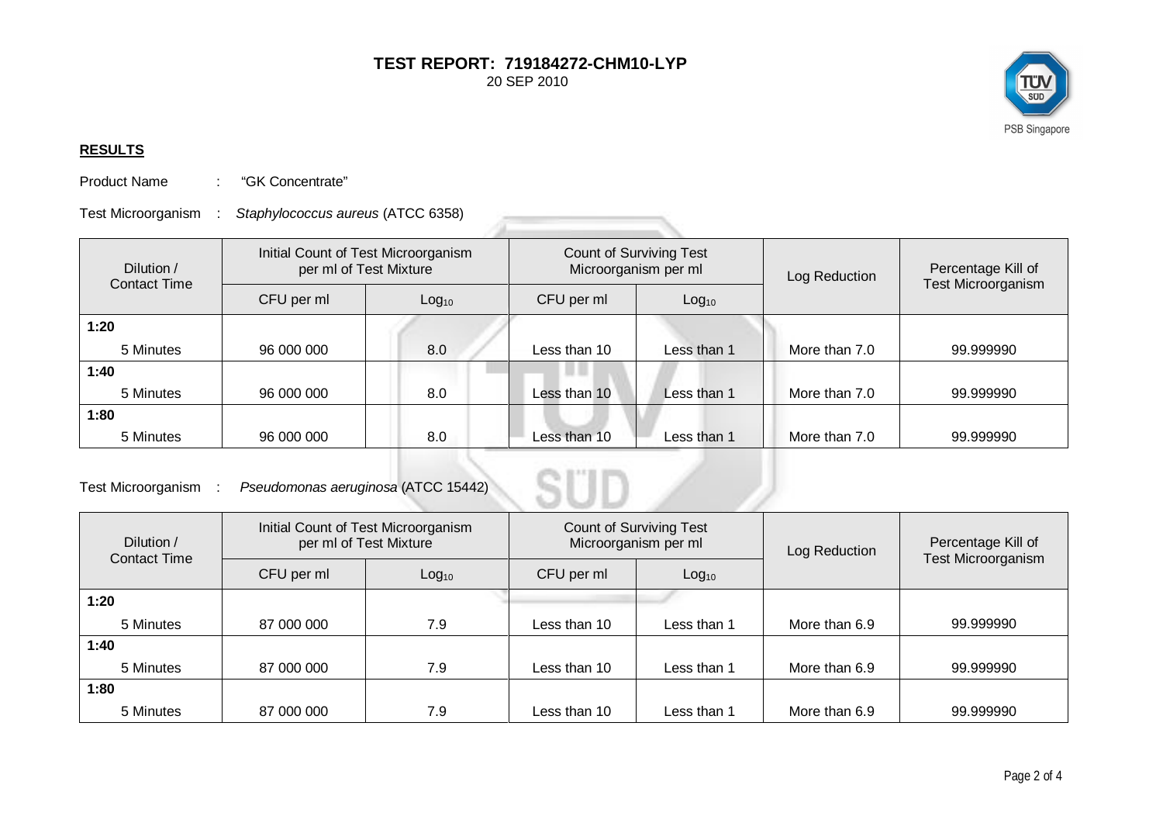ΓÜ  $STD$ PSB Singapore

## **RESULTS**

Product Name : "GK Concentrate"

Test Microorganism : *Staphylococcus aureus* (ATCC 6358)

| Dilution /<br>Contact Time | Initial Count of Test Microorganism<br>per ml of Test Mixture |                   | <b>Count of Surviving Test</b><br>Microorganism per ml |                   | Log Reduction | Percentage Kill of<br><b>Test Microorganism</b> |
|----------------------------|---------------------------------------------------------------|-------------------|--------------------------------------------------------|-------------------|---------------|-------------------------------------------------|
|                            | CFU per ml                                                    | Log <sub>10</sub> | CFU per ml                                             | Log <sub>10</sub> |               |                                                 |
| 1:20                       |                                                               |                   |                                                        |                   |               |                                                 |
| 5 Minutes                  | 96 000 000                                                    | 8.0               | Less than 10                                           | Less than 1       | More than 7.0 | 99.999990                                       |
| 1:40                       |                                                               |                   |                                                        |                   |               |                                                 |
| 5 Minutes                  | 96 000 000                                                    | 8.0               | Less than 10                                           | Less than 1       | More than 7.0 | 99.999990                                       |
| 1:80                       |                                                               |                   |                                                        |                   |               |                                                 |
| 5 Minutes                  | 96 000 000                                                    | 8.0               | Less than 10                                           | Less than 1       | More than 7.0 | 99.999990                                       |

Test Microorganism : *Pseudomonas aeruginosa* (ATCC 15442)

| Dilution /<br><b>Contact Time</b> | Initial Count of Test Microorganism<br>per ml of Test Mixture |                   | <b>Count of Surviving Test</b><br>Microorganism per ml |                   | Log Reduction | Percentage Kill of        |
|-----------------------------------|---------------------------------------------------------------|-------------------|--------------------------------------------------------|-------------------|---------------|---------------------------|
|                                   | CFU per ml                                                    | Log <sub>10</sub> | CFU per ml                                             | Log <sub>10</sub> |               | <b>Test Microorganism</b> |
| 1:20                              |                                                               |                   |                                                        |                   |               |                           |
| 5 Minutes                         | 87 000 000                                                    | 7.9               | Less than 10                                           | Less than 1       | More than 6.9 | 99.999990                 |
| 1:40                              |                                                               |                   |                                                        |                   |               |                           |
| 5 Minutes                         | 87 000 000                                                    | 7.9               | Less than 10                                           | Less than 1       | More than 6.9 | 99.999990                 |
| 1:80                              |                                                               |                   |                                                        |                   |               |                           |
| 5 Minutes                         | 87 000 000                                                    | 7.9               | Less than 10                                           | Less than 1       | More than 6.9 | 99.999990                 |

 $\left( \begin{array}{cc} 0 & 0 \end{array} \right)$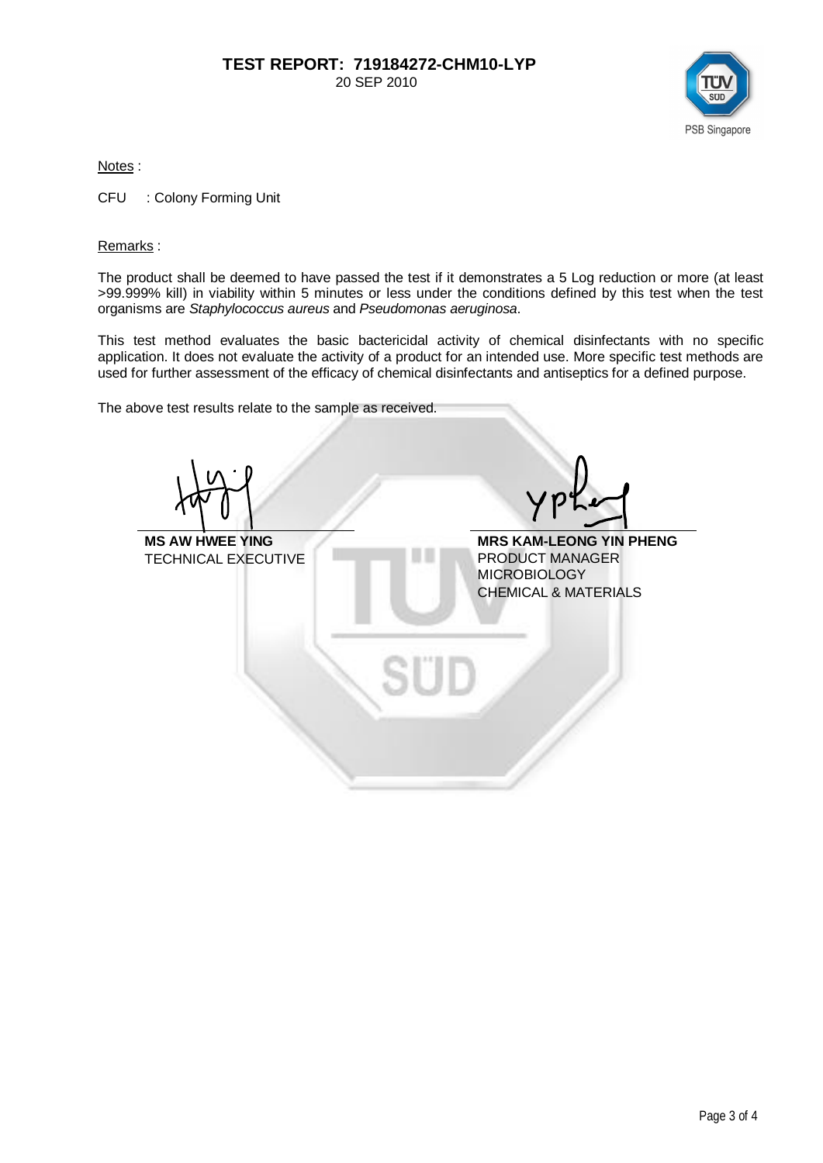

Notes :

CFU : Colony Forming Unit

#### Remarks :

The product shall be deemed to have passed the test if it demonstrates a 5 Log reduction or more (at least >99.999% kill) in viability within 5 minutes or less under the conditions defined by this test when the test organisms are *Staphylococcus aureus* and *Pseudomonas aeruginosa*.

This test method evaluates the basic bactericidal activity of chemical disinfectants with no specific application. It does not evaluate the activity of a product for an intended use. More specific test methods are used for further assessment of the efficacy of chemical disinfectants and antiseptics for a defined purpose.

The above test results relate to the sample as received.

**MS AW HWEE YING MRS KAM-LEONG YIN PHENG<br>TECHNICAL EXECUTIVE FRODUCT MANAGER** TECHNICAL EXECUTIVE MICROBIOLOGY CHEMICAL & MATERIALS